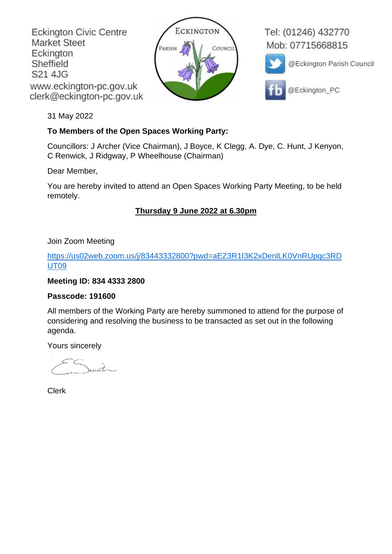**Eckington Civic Centre Market Steet** Eckington Sheffield S21 4JG www.eckington-pc.gov.uk clerk@eckington-pc.gov.uk



Tel: (01246) 432770 Mob: 07715668815



@Eckington Parish Council

@Eckington PC

31 May 2022

## **To Members of the Open Spaces Working Party:**

Councillors: J Archer (Vice Chairman), J Boyce, K Clegg, A. Dye, C. Hunt, J Kenyon, C Renwick, J Ridgway, P Wheelhouse (Chairman)

## Dear Member,

You are hereby invited to attend an Open Spaces Working Party Meeting, to be held remotely.

# **Thursday 9 June 2022 at 6.30pm**

Join Zoom Meeting

[https://us02web.zoom.us/j/83443332800?pwd=aEZ3R1I3K2xDenlLK0VnRUpqc3RD](https://us02web.zoom.us/j/83443332800?pwd=aEZ3R1I3K2xDenlLK0VnRUpqc3RDUT09) [UT09](https://us02web.zoom.us/j/83443332800?pwd=aEZ3R1I3K2xDenlLK0VnRUpqc3RDUT09)

## **Meeting ID: 834 4333 2800**

### **Passcode: 191600**

All members of the Working Party are hereby summoned to attend for the purpose of considering and resolving the business to be transacted as set out in the following agenda.

Yours sincerely

 $int$ 

Clerk